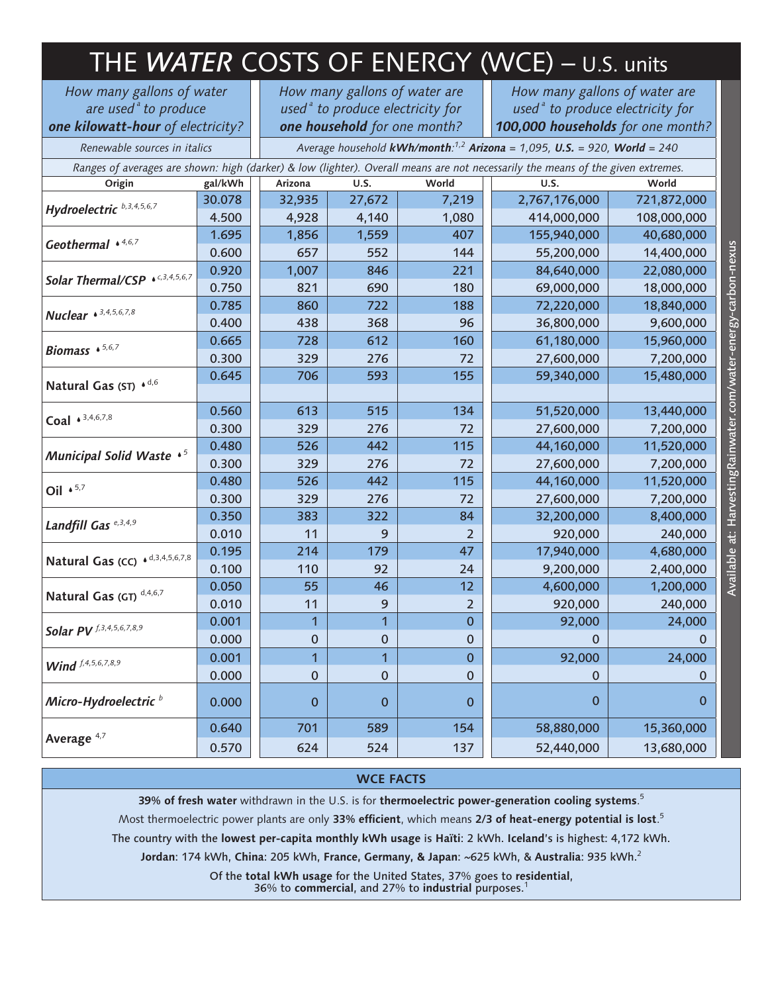| THE WATER COSTS OF ENERGY (WCE) - U.S. units                                                                                    |         |                                                                                                      |              |                  |                                                                                                                    |             |
|---------------------------------------------------------------------------------------------------------------------------------|---------|------------------------------------------------------------------------------------------------------|--------------|------------------|--------------------------------------------------------------------------------------------------------------------|-------------|
| How many gallons of water<br>are used <sup>ª</sup> to produce<br>one kilowatt-hour of electricity?                              |         | How many gallons of water are<br>used $a$ to produce electricity for<br>one household for one month? |              |                  | How many gallons of water are<br>used <sup>ª</sup> to produce electricity for<br>100,000 households for one month? |             |
| Renewable sources in italics                                                                                                    |         | Average household kWh/month: $1,2$ Arizona = 1,095, U.S. = 920, World = 240                          |              |                  |                                                                                                                    |             |
| Ranges of averages are shown: high (darker) & low (lighter). Overall means are not necessarily the means of the given extremes. |         |                                                                                                      |              |                  |                                                                                                                    |             |
| Origin                                                                                                                          | gal/kWh | Arizona                                                                                              | U.S.         | World            | U.S.                                                                                                               | World       |
| Hydroelectric b, 3, 4, 5, 6, 7                                                                                                  | 30.078  | 32,935                                                                                               | 27,672       | 7,219            | 2,767,176,000                                                                                                      | 721,872,000 |
|                                                                                                                                 | 4.500   | 4,928                                                                                                | 4,140        | 1,080            | 414,000,000                                                                                                        | 108,000,000 |
| Geothermal $\bullet$ 4,6,7                                                                                                      | 1.695   | 1,856                                                                                                | 1,559        | 407              | 155,940,000                                                                                                        | 40,680,000  |
|                                                                                                                                 | 0.600   | 657                                                                                                  | 552          | 144              | 55,200,000                                                                                                         | 14,400,000  |
| Solar Thermal/CSP * c,3,4,5,6,7                                                                                                 | 0.920   | 1,007                                                                                                | 846          | 221              | 84,640,000                                                                                                         | 22,080,000  |
|                                                                                                                                 | 0.750   | 821                                                                                                  | 690          | 180              | 69,000,000                                                                                                         | 18,000,000  |
| <b>Nuclear</b> • 3,4,5,6,7,8                                                                                                    | 0.785   | 860                                                                                                  | 722          | 188              | 72,220,000                                                                                                         | 18,840,000  |
|                                                                                                                                 | 0.400   | 438                                                                                                  | 368          | 96               | 36,800,000                                                                                                         | 9,600,000   |
| Biomass $\cdot$ 5,6,7                                                                                                           | 0.665   | 728                                                                                                  | 612          | 160              | 61,180,000                                                                                                         | 15,960,000  |
|                                                                                                                                 | 0.300   | 329                                                                                                  | 276          | 72               | 27,600,000                                                                                                         | 7,200,000   |
| Natural Gas (ST) * d,6                                                                                                          | 0.645   | 706                                                                                                  | 593          | 155              | 59,340,000                                                                                                         | 15,480,000  |
| Coal $*^{3,4,6,7,8}$                                                                                                            | 0.560   | 613                                                                                                  | 515          | 134              | 51,520,000                                                                                                         | 13,440,000  |
|                                                                                                                                 | 0.300   | 329                                                                                                  | 276          | 72               | 27,600,000                                                                                                         | 7,200,000   |
| Municipal Solid Waste $\cdot$ <sup>5</sup>                                                                                      | 0.480   | 526                                                                                                  | 442          | 115              | 44,160,000                                                                                                         | 11,520,000  |
|                                                                                                                                 | 0.300   | 329                                                                                                  | 276          | 72               | 27,600,000                                                                                                         | 7,200,000   |
| Oil $\cdot$ 5,7                                                                                                                 | 0.480   | 526                                                                                                  | 442          | 115              | 44,160,000                                                                                                         | 11,520,000  |
|                                                                                                                                 | 0.300   | 329                                                                                                  | 276          | 72               | 27,600,000                                                                                                         | 7,200,000   |
| Landfill Gas <sup>e, 3, 4, 9</sup>                                                                                              | 0.350   | 383                                                                                                  | 322          | 84               | 32,200,000                                                                                                         | 8,400,000   |
|                                                                                                                                 | 0.010   | 11                                                                                                   | 9            | $\overline{2}$   | 920,000                                                                                                            | 240,000     |
| Natural Gas (CC) · d,3,4,5,6,7,8                                                                                                | 0.195   | 214                                                                                                  | 179          | 47               | 17,940,000                                                                                                         | 4,680,000   |
|                                                                                                                                 | 0.100   | 110                                                                                                  | 92           | 24               | 9,200,000                                                                                                          | 2,400,000   |
| Natural Gas (GT) <sup>d,4,6,7</sup>                                                                                             | 0.050   | 55                                                                                                   | 46           | 12               | 4,600,000                                                                                                          | 1,200,000   |
|                                                                                                                                 | 0.010   | 11                                                                                                   | 9            | $\overline{2}$   | 920,000                                                                                                            | 240,000     |
| <b>Solar PV</b> f, 3, 4, 5, 6, 7, 8, 9                                                                                          | 0.001   | $\mathbf{1}$                                                                                         | $\mathbf{1}$ | $\pmb{0}$        | 92,000                                                                                                             | 24,000      |
|                                                                                                                                 | 0.000   | $\pmb{0}$                                                                                            | $\pmb{0}$    | $\pmb{0}$        | 0                                                                                                                  | 0           |
| Wind f.4,5,6,7,8,9                                                                                                              | 0.001   | $\overline{1}$                                                                                       | 1            | $\mathbf{0}$     | 92,000                                                                                                             | 24,000      |
|                                                                                                                                 | 0.000   | 0                                                                                                    | $\pmb{0}$    | $\pmb{0}$        | 0                                                                                                                  | 0           |
| Micro-Hydroelectric <sup>b</sup>                                                                                                | 0.000   | 0                                                                                                    | $\mathbf 0$  | $\boldsymbol{0}$ | 0                                                                                                                  | 0           |
| Average <sup>4,7</sup>                                                                                                          | 0.640   | 701                                                                                                  | 589          | 154              | 58,880,000                                                                                                         | 15,360,000  |
|                                                                                                                                 | 0.570   | 624                                                                                                  | 524          | 137              | 52,440,000                                                                                                         | 13,680,000  |

## **WCE FACTS**

**39% of fresh water** withdrawn in the U.S. is for **thermoelectric power-generation cooling systems**. 5

Most thermoelectric power plants are only **33% efficient**, which means **2/3 of heat-energy potential is lost**. 5

The country with the **lowest per-capita monthly kWh usage** is **Haïti**: 2 kWh. **Iceland**'s is highest: 4,172 kWh.

**Jordan**: 174 kWh, **China**: 205 kWh, **France, Germany, & Japan**: ~625 kWh, & **Australia**: 935 kWh.<sup>2</sup>

Of the **total kWh usage** for the United States, 37% goes to **residential**, 36% to **commercial**, and 27% to **industrial** purposes.<sup>1</sup>